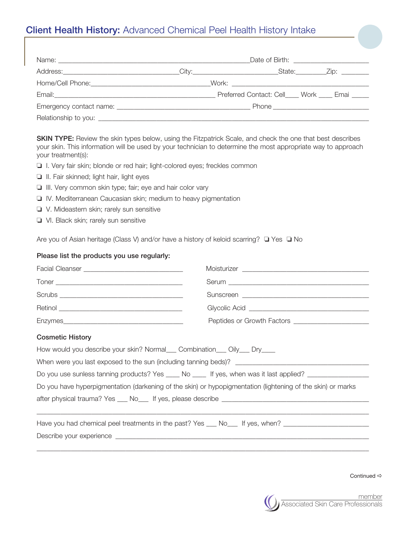## Client Health History: Advanced Chemical Peel Health History Intake

|  | Home/Cell Phone: North Maria March 2014 - Mork: North 2014 - Mork: North 2014 - Mork: North 2014 - Mork: North 2014 - Mork: North 2014 - Mork: North 2014 - Mork: North 2014 - Mork: North 2014 - Mork: North 2014 - Mork: Nor |
|--|--------------------------------------------------------------------------------------------------------------------------------------------------------------------------------------------------------------------------------|
|  | Preferred Contact: Cell____ Work ____ Emai _____                                                                                                                                                                               |
|  |                                                                                                                                                                                                                                |
|  |                                                                                                                                                                                                                                |

SKIN TYPE: Review the skin types below, using the Fitzpatrick Scale, and check the one that best describes your skin. This information will be used by your technician to determine the most appropriate way to approach your treatment(s):

- □ I. Very fair skin; blonde or red hair; light-colored eyes; freckles common
- $\Box$  II. Fair skinned; light hair, light eyes
- $\Box$  III. Very common skin type; fair; eye and hair color vary
- D IV. Mediterranean Caucasian skin; medium to heavy pigmentation
- $\Box$  V. Mideastern skin; rarely sun sensitive
- VI. Black skin; rarely sun sensitive

Are you of Asian heritage (Class V) and/or have a history of keloid scarring?  $\Box$  Yes  $\Box$  No

## Please list the products you use regularly:

| <b>Cosmetic History</b>                                                                                       |  |  |  |  |  |
|---------------------------------------------------------------------------------------------------------------|--|--|--|--|--|
| How would you describe your skin? Normal___ Combination___ Oily___ Dry____                                    |  |  |  |  |  |
|                                                                                                               |  |  |  |  |  |
| Do you use sunless tanning products? Yes _____ No _____ If yes, when was it last applied? ___________________ |  |  |  |  |  |
| Do you have hyperpigmentation (darkening of the skin) or hypopigmentation (lightening of the skin) or marks   |  |  |  |  |  |
|                                                                                                               |  |  |  |  |  |
| Have you had chemical peel treatments in the past? Yes ___ No___ If yes, when? _____________________          |  |  |  |  |  |
|                                                                                                               |  |  |  |  |  |

Continued  $\Rightarrow$